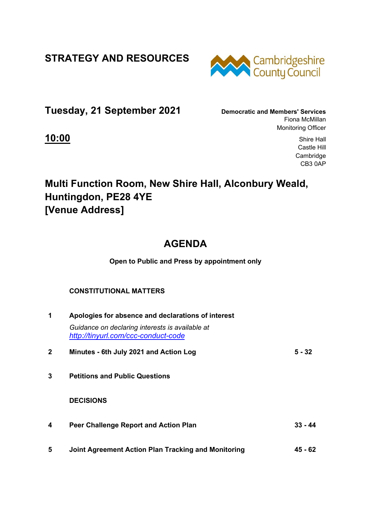**STRATEGY AND RESOURCES** 



**Tuesday, 21 September 2021 Democratic and Members' Services**

Fiona McMillan Monitoring Officer

**10:00** Shire Hall Castle Hill **Cambridge** CB3 0AP

## **Multi Function Room, New Shire Hall, Alconbury Weald, Huntingdon, PE28 4YE [Venue Address]**

# **AGENDA**

**Open to Public and Press by appointment only** 

### **CONSTITUTIONAL MATTERS**

| 1            | Apologies for absence and declarations of interest                                     |           |  |
|--------------|----------------------------------------------------------------------------------------|-----------|--|
|              | Guidance on declaring interests is available at<br>http://tinyurl.com/ccc-conduct-code |           |  |
| $\mathbf{2}$ | Minutes - 6th July 2021 and Action Log                                                 | $5 - 32$  |  |
| 3            | <b>Petitions and Public Questions</b>                                                  |           |  |
|              | <b>DECISIONS</b>                                                                       |           |  |
| 4            | Peer Challenge Report and Action Plan                                                  | $33 - 44$ |  |
| 5            | Joint Agreement Action Plan Tracking and Monitoring                                    | 45 - 62   |  |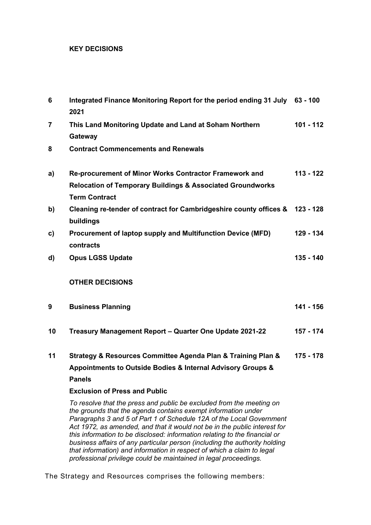#### **KEY DECISIONS**

| $6\phantom{1}6$ | Integrated Finance Monitoring Report for the period ending 31 July 63 - 100<br>2021                                                                                                                                                                                                                                                                                      |             |  |
|-----------------|--------------------------------------------------------------------------------------------------------------------------------------------------------------------------------------------------------------------------------------------------------------------------------------------------------------------------------------------------------------------------|-------------|--|
| $\overline{7}$  | This Land Monitoring Update and Land at Soham Northern<br>Gateway                                                                                                                                                                                                                                                                                                        | $101 - 112$ |  |
| 8               | <b>Contract Commencements and Renewals</b>                                                                                                                                                                                                                                                                                                                               |             |  |
| a)              | Re-procurement of Minor Works Contractor Framework and<br><b>Relocation of Temporary Buildings &amp; Associated Groundworks</b><br><b>Term Contract</b>                                                                                                                                                                                                                  | $113 - 122$ |  |
| b)              | Cleaning re-tender of contract for Cambridgeshire county offices & 123 - 128<br>buildings                                                                                                                                                                                                                                                                                |             |  |
| $\mathbf{c}$    | Procurement of laptop supply and Multifunction Device (MFD)<br>contracts                                                                                                                                                                                                                                                                                                 | 129 - 134   |  |
| d)              | <b>Opus LGSS Update</b>                                                                                                                                                                                                                                                                                                                                                  | 135 - 140   |  |
|                 | <b>OTHER DECISIONS</b>                                                                                                                                                                                                                                                                                                                                                   |             |  |
| 9               | <b>Business Planning</b>                                                                                                                                                                                                                                                                                                                                                 | 141 - 156   |  |
| 10              | Treasury Management Report - Quarter One Update 2021-22                                                                                                                                                                                                                                                                                                                  | 157 - 174   |  |
| 11              | Strategy & Resources Committee Agenda Plan & Training Plan &                                                                                                                                                                                                                                                                                                             | $175 - 178$ |  |
|                 | Appointments to Outside Bodies & Internal Advisory Groups &                                                                                                                                                                                                                                                                                                              |             |  |
|                 | <b>Panels</b>                                                                                                                                                                                                                                                                                                                                                            |             |  |
|                 | <b>Exclusion of Press and Public</b>                                                                                                                                                                                                                                                                                                                                     |             |  |
|                 | To resolve that the press and public be excluded from the meeting on<br>the grounds that the agenda contains exempt information under<br>Paragraphs 3 and 5 of Part 1 of Schedule 12A of the Local Government<br>Act 1972, as amended, and that it would not be in the public interest for<br>this information to be disclosed: information relating to the financial or |             |  |

The Strategy and Resources comprises the following members:

*business affairs of any particular person (including the authority holding that information) and information in respect of which a claim to legal professional privilege could be maintained in legal proceedings.*